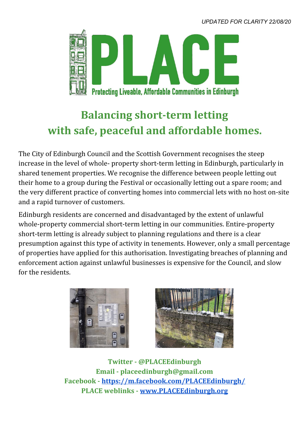*UPDATED FOR CLARITY 22/08/20*



## **Balancing short-term letting with safe, peaceful and affordable homes.**

The City of Edinburgh Council and the Scottish Government recognises the steep increase in the level of whole- property short-term letting in Edinburgh, particularly in shared tenement properties. We recognise the difference between people letting out their home to a group during the Festival or occasionally letting out a spare room; and the very different practice of converting homes into commercial lets with no host on-site and a rapid turnover of customers.

Edinburgh residents are concerned and disadvantaged by the extent of unlawful whole-property commercial short-term letting in our communities. Entire-property short-term letting is already subject to planning regulations and there is a clear presumption against this type of activity in tenements. However, only a small percentage of properties have applied for this authorisation. Investigating breaches of planning and enforcement action against unlawful businesses is expensive for the Council, and slow for the residents.





**Twitter - @PLACEEdinburgh Email - placeedinburgh@gmail.com Facebook - <https://m.facebook.com/PLACEEdinburgh/> PLACE weblinks - [www.PLACEEdinburgh.org](http://www.placeedinburgh.org/)**